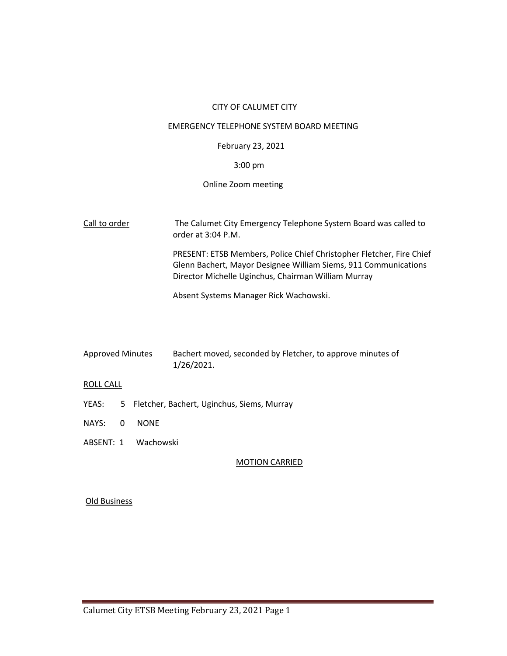# CITY OF CALUMET CITY

#### EMERGENCY TELEPHONE SYSTEM BOARD MEETING

# February 23, 2021

# 3:00 pm

# Online Zoom meeting

Call to order The Calumet City Emergency Telephone System Board was called to order at 3:04 P.M. PRESENT: ETSB Members, Police Chief Christopher Fletcher, Fire Chief

Glenn Bachert, Mayor Designee William Siems, 911 Communications Director Michelle Uginchus, Chairman William Murray

Absent Systems Manager Rick Wachowski.

| <b>Approved Minutes</b> | Bachert moved, seconded by Fletcher, to approve minutes of |
|-------------------------|------------------------------------------------------------|
|                         | 1/26/2021.                                                 |

### ROLL CALL

- YEAS: 5 Fletcher, Bachert, Uginchus, Siems, Murray
- NAYS: 0 NONE
- ABSENT: 1 Wachowski

# MOTION CARRIED

### Old Business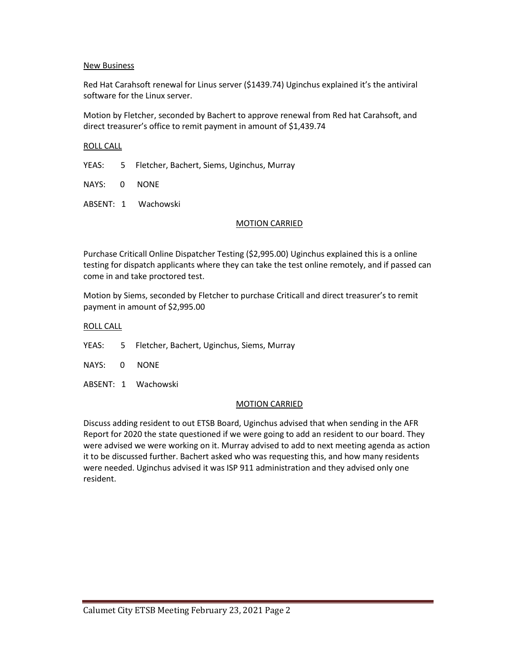# New Business

Red Hat Carahsoft renewal for Linus server (\$1439.74) Uginchus explained it's the antiviral software for the Linux server.

Motion by Fletcher, seconded by Bachert to approve renewal from Red hat Carahsoft, and direct treasurer's office to remit payment in amount of \$1,439.74

# ROLL CALL

YEAS: 5 Fletcher, Bachert, Siems, Uginchus, Murray

NAYS: 0 NONE

ABSENT: 1 Wachowski

# MOTION CARRIED

Purchase Criticall Online Dispatcher Testing (\$2,995.00) Uginchus explained this is a online testing for dispatch applicants where they can take the test online remotely, and if passed can come in and take proctored test.

Motion by Siems, seconded by Fletcher to purchase Criticall and direct treasurer's to remit payment in amount of \$2,995.00

### ROLL CALL

- YEAS: 5 Fletcher, Bachert, Uginchus, Siems, Murray
- NAYS: 0 NONE
- ABSENT: 1 Wachowski

### MOTION CARRIED

Discuss adding resident to out ETSB Board, Uginchus advised that when sending in the AFR Report for 2020 the state questioned if we were going to add an resident to our board. They were advised we were working on it. Murray advised to add to next meeting agenda as action it to be discussed further. Bachert asked who was requesting this, and how many residents were needed. Uginchus advised it was ISP 911 administration and they advised only one resident.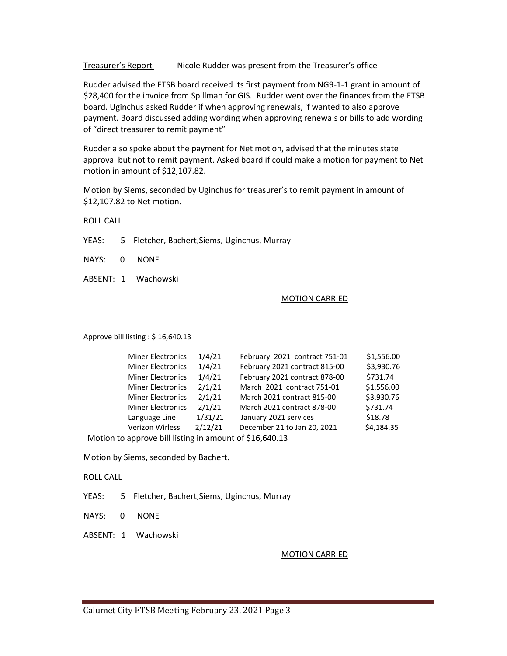Treasurer's Report Nicole Rudder was present from the Treasurer's office

Rudder advised the ETSB board received its first payment from NG9-1-1 grant in amount of \$28,400 for the invoice from Spillman for GIS. Rudder went over the finances from the ETSB board. Uginchus asked Rudder if when approving renewals, if wanted to also approve payment. Board discussed adding wording when approving renewals or bills to add wording of "direct treasurer to remit payment"

Rudder also spoke about the payment for Net motion, advised that the minutes state approval but not to remit payment. Asked board if could make a motion for payment to Net motion in amount of \$12,107.82.

Motion by Siems, seconded by Uginchus for treasurer's to remit payment in amount of \$12,107.82 to Net motion.

ROLL CALL

YEAS: 5 Fletcher, Bachert,Siems, Uginchus, Murray

NAYS: 0 NONE

ABSENT: 1 Wachowski

# MOTION CARRIED

Approve bill listing : \$ 16,640.13

|                                                         | <b>Miner Electronics</b> | 1/4/21  | February 2021 contract 751-01 | \$1,556.00 |  |
|---------------------------------------------------------|--------------------------|---------|-------------------------------|------------|--|
|                                                         | <b>Miner Electronics</b> | 1/4/21  | February 2021 contract 815-00 | \$3,930.76 |  |
|                                                         | <b>Miner Electronics</b> | 1/4/21  | February 2021 contract 878-00 | \$731.74   |  |
|                                                         | <b>Miner Electronics</b> | 2/1/21  | March 2021 contract 751-01    | \$1,556.00 |  |
|                                                         | <b>Miner Electronics</b> | 2/1/21  | March 2021 contract 815-00    | \$3,930.76 |  |
|                                                         | <b>Miner Electronics</b> | 2/1/21  | March 2021 contract 878-00    | \$731.74   |  |
|                                                         | Language Line            | 1/31/21 | January 2021 services         | \$18.78    |  |
|                                                         | Verizon Wirless          | 2/12/21 | December 21 to Jan 20, 2021   | \$4,184.35 |  |
| Motion to approve bill listing in amount of \$16,640.13 |                          |         |                               |            |  |
|                                                         |                          |         |                               |            |  |

Motion by Siems, seconded by Bachert.

ROLL CALL

YEAS: 5 Fletcher, Bachert,Siems, Uginchus, Murray

NAYS: 0 NONE

ABSENT: 1 Wachowski

### MOTION CARRIED